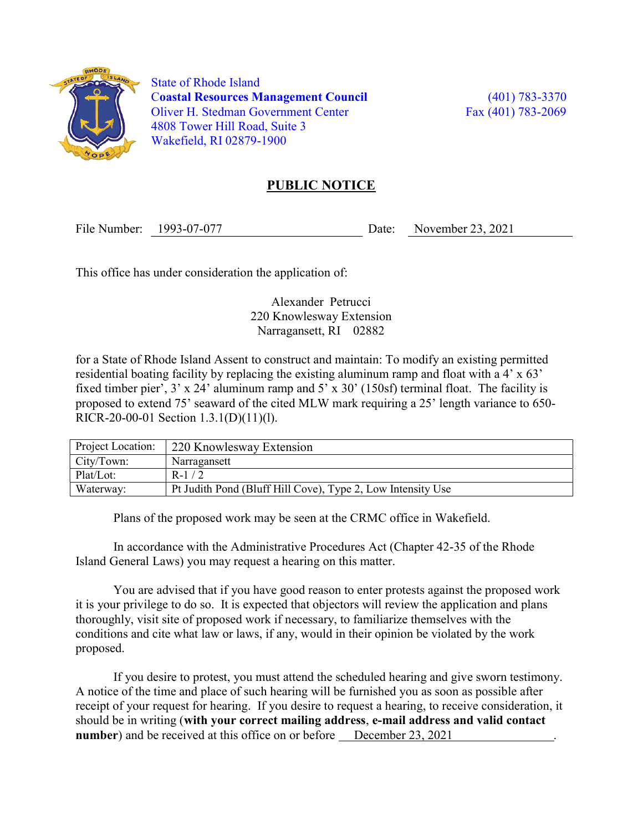

 State of Rhode Island Coastal Resources Management Council (401) 783-3370 Oliver H. Stedman Government Center Fax (401) 783-2069 4808 Tower Hill Road, Suite 3 Wakefield, RI 02879-1900

## PUBLIC NOTICE

File Number: 1993-07-077 Date: November 23, 2021

This office has under consideration the application of:

Alexander Petrucci 220 Knowlesway Extension Narragansett, RI 02882

for a State of Rhode Island Assent to construct and maintain: To modify an existing permitted residential boating facility by replacing the existing aluminum ramp and float with a 4' x 63' fixed timber pier', 3' x 24' aluminum ramp and 5' x 30' (150sf) terminal float. The facility is proposed to extend 75' seaward of the cited MLW mark requiring a 25' length variance to 650- RICR-20-00-01 Section 1.3.1(D)(11)(l).

| Project Location: | 220 Knowlesway Extension                                    |
|-------------------|-------------------------------------------------------------|
| City/Town:        | Narragansett                                                |
| Plat/Lot:         | $R-1/2$                                                     |
| Waterway:         | Pt Judith Pond (Bluff Hill Cove), Type 2, Low Intensity Use |

Plans of the proposed work may be seen at the CRMC office in Wakefield.

In accordance with the Administrative Procedures Act (Chapter 42-35 of the Rhode Island General Laws) you may request a hearing on this matter.

You are advised that if you have good reason to enter protests against the proposed work it is your privilege to do so. It is expected that objectors will review the application and plans thoroughly, visit site of proposed work if necessary, to familiarize themselves with the conditions and cite what law or laws, if any, would in their opinion be violated by the work proposed.

If you desire to protest, you must attend the scheduled hearing and give sworn testimony. A notice of the time and place of such hearing will be furnished you as soon as possible after receipt of your request for hearing. If you desire to request a hearing, to receive consideration, it should be in writing (with your correct mailing address, e-mail address and valid contact number) and be received at this office on or before December 23, 2021